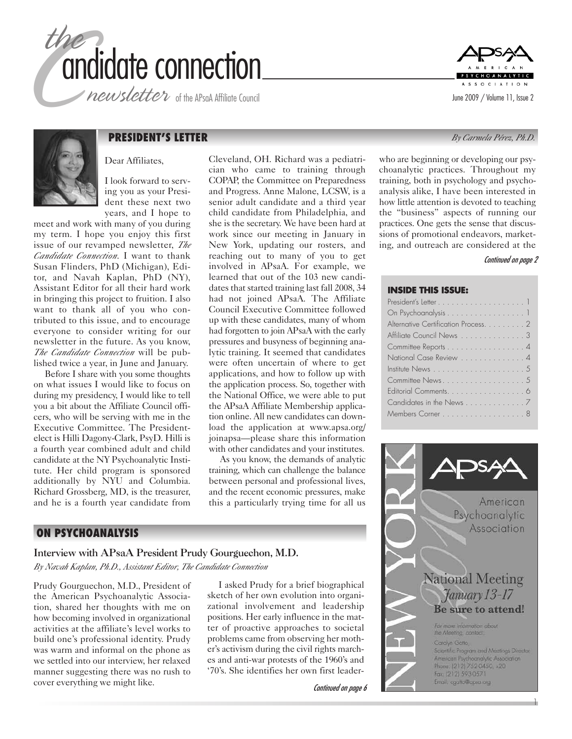

newsletter of the APsaA Affiliate Council





# **PRESIDENT'S LETTER** *By Carmela Pérez, Ph.D.*

Dear Affiliates,

I look forward to serving you as your President these next two years, and I hope to

meet and work with many of you during my term. I hope you enjoy this first issue of our revamped newsletter, *The Candidate Connection*. I want to thank Susan Flinders, PhD (Michigan), Editor, and Navah Kaplan, PhD (NY), Assistant Editor for all their hard work in bringing this project to fruition. I also want to thank all of you who contributed to this issue, and to encourage everyone to consider writing for our newsletter in the future. As you know, *The Candidate Connection* will be published twice a year, in June and January.

Before I share with you some thoughts on what issues I would like to focus on during my presidency, I would like to tell you a bit about the Affiliate Council officers, who will be serving with me in the Executive Committee. The Presidentelect is Hilli Dagony-Clark, PsyD. Hilli is a fourth year combined adult and child candidate at the NY Psychoanalytic Institute. Her child program is sponsored additionally by NYU and Columbia. Richard Grossberg, MD, is the treasurer, and he is a fourth year candidate from Cleveland, OH. Richard was a pediatrician who came to training through COPAP, the Committee on Preparedness and Progress. Anne Malone, LCSW, is a senior adult candidate and a third year child candidate from Philadelphia, and she is the secretary. We have been hard at work since our meeting in January in New York, updating our rosters, and reaching out to many of you to get involved in APsaA. For example, we learned that out of the 103 new candidates that started training last fall 2008, 34 had not joined APsaA. The Affiliate Council Executive Committee followed up with these candidates, many of whom had forgotten to join APsaA with the early pressures and busyness of beginning analytic training. It seemed that candidates were often uncertain of where to get applications, and how to follow up with the application process. So, together with the National Office, we were able to put the APsaA Affiliate Membership application online. All new candidates can download the application at www.apsa.org/ joinapsa—please share this information with other candidates and your institutes.

As you know, the demands of analytic training, which can challenge the balance between personal and professional lives, and the recent economic pressures, make this a particularly trying time for all us

# **ON PSYCHOANALYSIS**

Interview with APsaA President Prudy Gourguechon, M.D.

*By Navah Kaplan, Ph.D., Assistant Editor, The Candidate Connection*

Prudy Gourguechon, M.D., President of the American Psychoanalytic Association, shared her thoughts with me on how becoming involved in organizational activities at the affiliate's level works to build one's professional identity. Prudy was warm and informal on the phone as we settled into our interview, her relaxed manner suggesting there was no rush to cover everything we might like.

I asked Prudy for a brief biographical sketch of her own evolution into organizational involvement and leadership positions. Her early influence in the matter of proactive approaches to societal problems came from observing her mother's activism during the civil rights marches and anti-war protests of the 1960's and '70's. She identifies her own first leader-

*Continued on page 6*

who are beginning or developing our psychoanalytic practices. Throughout my training, both in psychology and psychoanalysis alike, I have been interested in how little attention is devoted to teaching the "business" aspects of running our practices. One gets the sense that discussions of promotional endeavors, marketing, and outreach are considered at the

#### *Continued on page 2*

#### **INSIDE THIS ISSUE:**

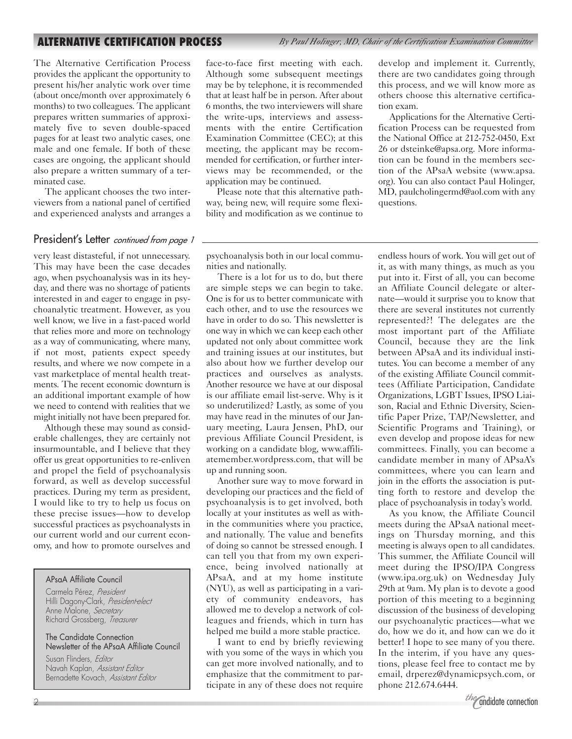**ALTERNATIVE CERTIFICATION PROCESS** *By Paul Holinger, MD, Chair of the Certification Examination Committee*

The Alternative Certification Process provides the applicant the opportunity to present his/her analytic work over time (about once/month over approximately 6 months) to two colleagues. The applicant prepares written summaries of approximately five to seven double-spaced pages for at least two analytic cases, one male and one female. If both of these cases are ongoing, the applicant should also prepare a written summary of a terminated case.

The applicant chooses the two interviewers from a national panel of certified and experienced analysts and arranges a

### President's Letter *continued from page 1*

very least distasteful, if not unnecessary. This may have been the case decades ago, when psychoanalysis was in its heyday, and there was no shortage of patients interested in and eager to engage in psychoanalytic treatment. However, as you well know, we live in a fast-paced world that relies more and more on technology as a way of communicating, where many, if not most, patients expect speedy results, and where we now compete in a vast marketplace of mental health treatments. The recent economic downturn is an additional important example of how we need to contend with realities that we might initially not have been prepared for.

Although these may sound as considerable challenges, they are certainly not insurmountable, and I believe that they offer us great opportunities to re-enliven and propel the field of psychoanalysis forward, as well as develop successful practices. During my term as president, I would like to try to help us focus on these precise issues—how to develop successful practices as psychoanalysts in our current world and our current economy, and how to promote ourselves and

#### APsaA Affiliate Council

Carmela Pérez, *President* Hilli Dagony-Clark, *President-elect* Anne Malone, *Secretary* Richard Grossberg, *Treasurer*

#### The Candidate Connection Newsletter of the APsaA Affiliate Council

Susan Flinders, *Editor* Navah Kaplan, *Assistant Editor* Bernadette Kovach, *Assistant Editor* face-to-face first meeting with each. Although some subsequent meetings may be by telephone, it is recommended that at least half be in person. After about 6 months, the two interviewers will share the write-ups, interviews and assessments with the entire Certification Examination Committee (CEC); at this meeting, the applicant may be recommended for certification, or further interviews may be recommended, or the application may be continued.

Please note that this alternative pathway, being new, will require some flexibility and modification as we continue to

psychoanalysis both in our local communities and nationally.

There is a lot for us to do, but there are simple steps we can begin to take. One is for us to better communicate with each other, and to use the resources we have in order to do so. This newsletter is one way in which we can keep each other updated not only about committee work and training issues at our institutes, but also about how we further develop our practices and ourselves as analysts. Another resource we have at our disposal is our affiliate email list-serve. Why is it so underutilized? Lastly, as some of you may have read in the minutes of our January meeting, Laura Jensen, PhD, our previous Affiliate Council President, is working on a candidate blog, www.affiliatemember.wordpress.com, that will be up and running soon.

Another sure way to move forward in developing our practices and the field of psychoanalysis is to get involved, both locally at your institutes as well as within the communities where you practice, and nationally. The value and benefits of doing so cannot be stressed enough. I can tell you that from my own experience, being involved nationally at APsaA, and at my home institute (NYU), as well as participating in a variety of community endeavors, has allowed me to develop a network of colleagues and friends, which in turn has helped me build a more stable practice.

I want to end by briefly reviewing with you some of the ways in which you can get more involved nationally, and to emphasize that the commitment to participate in any of these does not require

develop and implement it. Currently, there are two candidates going through this process, and we will know more as others choose this alternative certification exam.

Applications for the Alternative Certification Process can be requested from the National Office at 212-752-0450, Ext 26 or dsteinke@apsa.org. More information can be found in the members section of the APsaA website (www.apsa. org). You can also contact Paul Holinger, MD, paulcholingermd@aol.com with any questions.

endless hours of work. You will get out of it, as with many things, as much as you put into it. First of all, you can become an Affiliate Council delegate or alternate—would it surprise you to know that there are several institutes not currently represented?! The delegates are the most important part of the Affiliate Council, because they are the link between APsaA and its individual institutes. You can become a member of any of the existing Affiliate Council committees (Affiliate Participation, Candidate Organizations, LGBT Issues, IPSO Liaison, Racial and Ethnic Diversity, Scientific Paper Prize, TAP/Newsletter, and Scientific Programs and Training), or even develop and propose ideas for new committees. Finally, you can become a candidate member in many of APsaA's committees, where you can learn and join in the efforts the association is putting forth to restore and develop the place of psychoanalysis in today's world.

As you know, the Affiliate Council meets during the APsaA national meetings on Thursday morning, and this meeting is always open to all candidates. This summer, the Affiliate Council will meet during the IPSO/IPA Congress (www.ipa.org.uk) on Wednesday July 29th at 9am. My plan is to devote a good portion of this meeting to a beginning discussion of the business of developing our psychoanalytic practices—what we do, how we do it, and how can we do it better! I hope to see many of you there. In the interim, if you have any questions, please feel free to contact me by email, drperez@dynamicpsych.com, or phone 212.674.6444.

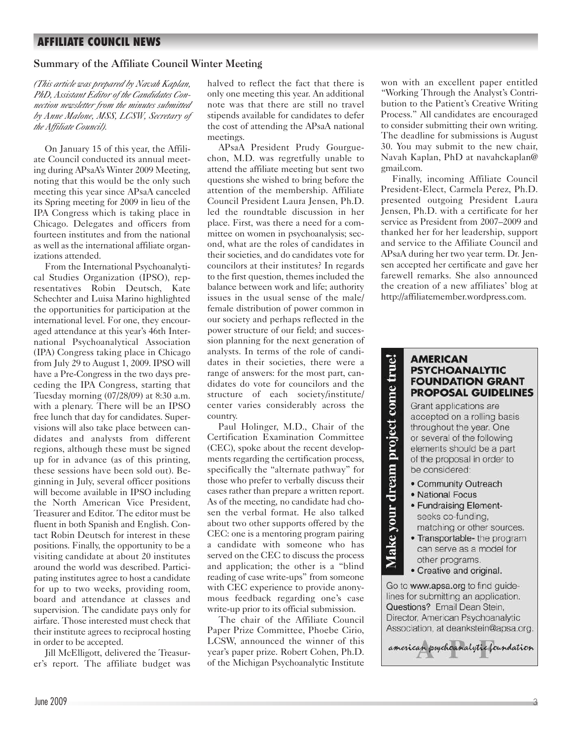# **AFFILIATE COUNCIL NEWS**

# Summary of the Affiliate Council Winter Meeting

*(This article was prepared by Navah Kaplan, PhD, Assistant Editor of the Candidates Connection newsletter from the minutes submitted by Anne Malone, MSS, LCSW, Secretary of the Affiliate Council).*

On January 15 of this year, the Affiliate Council conducted its annual meeting during APsaA's Winter 2009 Meeting, noting that this would be the only such meeting this year since APsaA canceled its Spring meeting for 2009 in lieu of the IPA Congress which is taking place in Chicago. Delegates and officers from fourteen institutes and from the national as well as the international affiliate organizations attended.

From the International Psychoanalytical Studies Organization (IPSO), representatives Robin Deutsch, Kate Schechter and Luisa Marino highlighted the opportunities for participation at the international level. For one, they encouraged attendance at this year's 46th International Psychoanalytical Association (IPA) Congress taking place in Chicago from July 29 to August 1, 2009. IPSO will have a Pre-Congress in the two days preceding the IPA Congress, starting that Tuesday morning (07/28/09) at 8:30 a.m. with a plenary. There will be an IPSO free lunch that day for candidates. Supervisions will also take place between candidates and analysts from different regions, although these must be signed up for in advance (as of this printing, these sessions have been sold out). Beginning in July, several officer positions will become available in IPSO including the North American Vice President, Treasurer and Editor. The editor must be fluent in both Spanish and English. Contact Robin Deutsch for interest in these positions. Finally, the opportunity to be a visiting candidate at about 20 institutes around the world was described. Participating institutes agree to host a candidate for up to two weeks, providing room, board and attendance at classes and supervision. The candidate pays only for airfare. Those interested must check that their institute agrees to reciprocal hosting in order to be accepted.

Jill McElligott, delivered the Treasurer's report. The affiliate budget was halved to reflect the fact that there is only one meeting this year. An additional note was that there are still no travel stipends available for candidates to defer the cost of attending the APsaA national meetings.

APsaA President Prudy Gourguechon, M.D. was regretfully unable to attend the affiliate meeting but sent two questions she wished to bring before the attention of the membership. Affiliate Council President Laura Jensen, Ph.D. led the roundtable discussion in her place. First, was there a need for a committee on women in psychoanalysis; second, what are the roles of candidates in their societies, and do candidates vote for councilors at their institutes? In regards to the first question, themes included the balance between work and life; authority issues in the usual sense of the male/ female distribution of power common in our society and perhaps reflected in the power structure of our field; and succession planning for the next generation of analysts. In terms of the role of candidates in their societies, there were a range of answers: for the most part, candidates do vote for councilors and the structure of each society/institute/ center varies considerably across the country.

Paul Holinger, M.D., Chair of the Certification Examination Committee (CEC), spoke about the recent developments regarding the certification process, specifically the "alternate pathway" for those who prefer to verbally discuss their cases rather than prepare a written report. As of the meeting, no candidate had chosen the verbal format. He also talked about two other supports offered by the CEC: one is a mentoring program pairing a candidate with someone who has served on the CEC to discuss the process and application; the other is a "blind reading of case write-ups" from someone with CEC experience to provide anonymous feedback regarding one's case write-up prior to its official submission.

The chair of the Affiliate Council Paper Prize Committee, Phoebe Cirio, LCSW, announced the winner of this year's paper prize. Robert Cohen, Ph.D. of the Michigan Psychoanalytic Institute

won with an excellent paper entitled "Working Through the Analyst's Contribution to the Patient's Creative Writing Process." All candidates are encouraged to consider submitting their own writing. The deadline for submissions is August 30. You may submit to the new chair, Navah Kaplan, PhD at navahckaplan@ gmail.com.

Finally, incoming Affiliate Council President-Elect, Carmela Perez, Ph.D. presented outgoing President Laura Jensen, Ph.D. with a certificate for her service as President from 2007–2009 and thanked her for her leadership, support and service to the Affiliate Council and APsaA during her two year term. Dr. Jensen accepted her certificate and gave her farewell remarks. She also announced the creation of a new affiliates' blog at http://affiliatemember.wordpress.com.

## **AMERICAN PSYCHOANALYTIC FOUNDATION GRANT PROPOSAL GUIDELINES**

Grant applications are accepted on a rolling basis throughout the year. One or several of the following elements should be a part of the proposal in order to be considered:

- · Community Outreach
- National Focus

Make your dream project come true!

- · Fundraising Elementseeks co-funding, matching or other sources.
- Transportable- the program can serve as a model for other programs.
- Creative and original.

Go to www.apsa.org to find guidelines for submitting an application. Questions? Email Dean Stein, Director, American Psychoanalytic Association, at deankstein@apsa.org.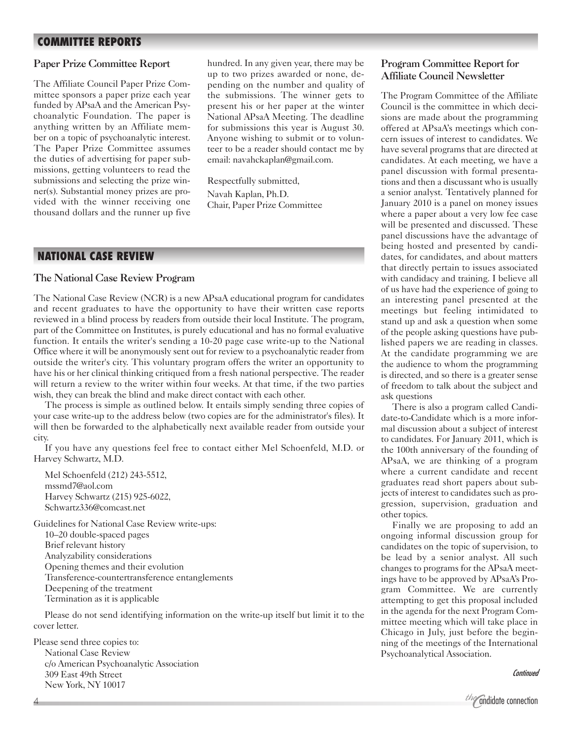# **COMMITTEE REPORTS**

## Paper Prize Committee Report

The Affiliate Council Paper Prize Committee sponsors a paper prize each year funded by APsaA and the American Psychoanalytic Foundation. The paper is anything written by an Affiliate member on a topic of psychoanalytic interest. The Paper Prize Committee assumes the duties of advertising for paper submissions, getting volunteers to read the submissions and selecting the prize winner(s). Substantial money prizes are provided with the winner receiving one thousand dollars and the runner up five

hundred. In any given year, there may be up to two prizes awarded or none, depending on the number and quality of the submissions. The winner gets to present his or her paper at the winter National APsaA Meeting. The deadline for submissions this year is August 30. Anyone wishing to submit or to volunteer to be a reader should contact me by email: navahckaplan@gmail.com.

Respectfully submitted, Navah Kaplan, Ph.D. Chair, Paper Prize Committee

# **NATIONAL CASE REVIEW**

#### The National Case Review Program

The National Case Review (NCR) is a new APsaA educational program for candidates and recent graduates to have the opportunity to have their written case reports reviewed in a blind process by readers from outside their local Institute. The program, part of the Committee on Institutes, is purely educational and has no formal evaluative function. It entails the writer's sending a 10-20 page case write-up to the National Office where it will be anonymously sent out for review to a psychoanalytic reader from outside the writer's city. This voluntary program offers the writer an opportunity to have his or her clinical thinking critiqued from a fresh national perspective. The reader will return a review to the writer within four weeks. At that time, if the two parties wish, they can break the blind and make direct contact with each other.

The process is simple as outlined below. It entails simply sending three copies of your case write-up to the address below (two copies are for the administrator's files). It will then be forwarded to the alphabetically next available reader from outside your city.

If you have any questions feel free to contact either Mel Schoenfeld, M.D. or Harvey Schwartz, M.D.

Mel Schoenfeld (212) 243-5512, mssmd7@aol.com Harvey Schwartz (215) 925-6022, Schwartz336@comcast.net

Guidelines for National Case Review write-ups: 10–20 double-spaced pages Brief relevant history Analyzability considerations Opening themes and their evolution Transference-countertransference entanglements Deepening of the treatment Termination as it is applicable

Please do not send identifying information on the write-up itself but limit it to the cover letter.

Please send three copies to: National Case Review c/o American Psychoanalytic Association 309 East 49th Street New York, NY 10017

# Program Committee Report for Affiliate Council Newsletter

The Program Committee of the Affiliate Council is the committee in which decisions are made about the programming offered at APsaA's meetings which concern issues of interest to candidates. We have several programs that are directed at candidates. At each meeting, we have a panel discussion with formal presentations and then a discussant who is usually a senior analyst. Tentatively planned for January 2010 is a panel on money issues where a paper about a very low fee case will be presented and discussed. These panel discussions have the advantage of being hosted and presented by candidates, for candidates, and about matters that directly pertain to issues associated with candidacy and training. I believe all of us have had the experience of going to an interesting panel presented at the meetings but feeling intimidated to stand up and ask a question when some of the people asking questions have published papers we are reading in classes. At the candidate programming we are the audience to whom the programming is directed, and so there is a greater sense of freedom to talk about the subject and ask questions

There is also a program called Candidate-to-Candidate which is a more informal discussion about a subject of interest to candidates. For January 2011, which is the 100th anniversary of the founding of APsaA, we are thinking of a program where a current candidate and recent graduates read short papers about subjects of interest to candidates such as progression, supervision, graduation and other topics.

Finally we are proposing to add an ongoing informal discussion group for candidates on the topic of supervision, to be lead by a senior analyst. All such changes to programs for the APsaA meetings have to be approved by APsaA's Program Committee. We are currently attempting to get this proposal included in the agenda for the next Program Committee meeting which will take place in Chicago in July, just before the beginning of the meetings of the International Psychoanalytical Association.

*Continued*

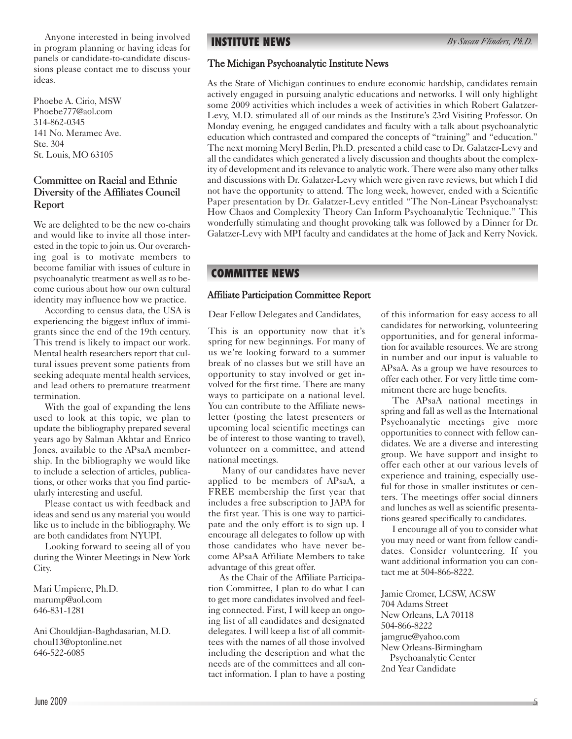Anyone interested in being involved in program planning or having ideas for panels or candidate-to-candidate discussions please contact me to discuss your ideas.

Phoebe A. Cirio, MSW Phoebe777@aol.com 314-862-0345 141 No. Meramec Ave. Ste. 304 St. Louis, MO 63105

# Committee on Racial and Ethnic Diversity of the Affiliates Council Report

We are delighted to be the new co-chairs and would like to invite all those interested in the topic to join us. Our overarching goal is to motivate members to become familiar with issues of culture in psychoanalytic treatment as well as to become curious about how our own cultural identity may influence how we practice.

According to census data, the USA is experiencing the biggest influx of immigrants since the end of the 19th century. This trend is likely to impact our work. Mental health researchers report that cultural issues prevent some patients from seeking adequate mental health services, and lead others to premature treatment termination.

With the goal of expanding the lens used to look at this topic, we plan to update the bibliography prepared several years ago by Salman Akhtar and Enrico Jones, available to the APsaA membership. In the bibliography we would like to include a selection of articles, publications, or other works that you find particularly interesting and useful.

Please contact us with feedback and ideas and send us any material you would like us to include in the bibliography. We are both candidates from NYUPI.

Looking forward to seeing all of you during the Winter Meetings in New York City.

Mari Umpierre, Ph.D. marump@aol.com 646-831-1281

Ani Chouldjian-Baghdasarian, M.D. choul13@optonline.net 646-522-6085

**INSTITUTE NEWS**

# The Michigan Psychoanalytic Institute News

As the State of Michigan continues to endure economic hardship, candidates remain actively engaged in pursuing analytic educations and networks. I will only highlight some 2009 activities which includes a week of activities in which Robert Galatzer-Levy, M.D. stimulated all of our minds as the Institute's 23rd Visiting Professor. On Monday evening, he engaged candidates and faculty with a talk about psychoanalytic education which contrasted and compared the concepts of "training" and "education." The next morning Meryl Berlin, Ph.D. presented a child case to Dr. Galatzer-Levy and all the candidates which generated a lively discussion and thoughts about the complexity of development and its relevance to analytic work. There were also many other talks and discussions with Dr. Galatzer-Levy which were given rave reviews, but which I did not have the opportunity to attend. The long week, however, ended with a Scientific Paper presentation by Dr. Galatzer-Levy entitled "The Non-Linear Psychoanalyst: How Chaos and Complexity Theory Can Inform Psychoanalytic Technique." This wonderfully stimulating and thought provoking talk was followed by a Dinner for Dr. Galatzer-Levy with MPI faculty and candidates at the home of Jack and Kerry Novick.

# **COMMITTEE NEWS**

## Affiliate Participation Committee Report

Dear Fellow Delegates and Candidates,

This is an opportunity now that it's spring for new beginnings. For many of us we're looking forward to a summer break of no classes but we still have an opportunity to stay involved or get involved for the first time. There are many ways to participate on a national level. You can contribute to the Affiliate newsletter (posting the latest presenters or upcoming local scientific meetings can be of interest to those wanting to travel), volunteer on a committee, and attend national meetings.

Many of our candidates have never applied to be members of APsaA, a FREE membership the first year that includes a free subscription to JAPA for the first year. This is one way to participate and the only effort is to sign up. I encourage all delegates to follow up with those candidates who have never become APsaA Affiliate Members to take advantage of this great offer.

As the Chair of the Affiliate Participation Committee, I plan to do what I can to get more candidates involved and feeling connected. First, I will keep an ongoing list of all candidates and designated delegates. I will keep a list of all committees with the names of all those involved including the description and what the needs are of the committees and all contact information. I plan to have a posting of this information for easy access to all candidates for networking, volunteering opportunities, and for general information for available resources. We are strong in number and our input is valuable to APsaA. As a group we have resources to offer each other. For very little time commitment there are huge benefits.

The APsaA national meetings in spring and fall as well as the International Psychoanalytic meetings give more opportunities to connect with fellow candidates. We are a diverse and interesting group. We have support and insight to offer each other at our various levels of experience and training, especially useful for those in smaller institutes or centers. The meetings offer social dinners and lunches as well as scientific presentations geared specifically to candidates.

I encourage all of you to consider what you may need or want from fellow candidates. Consider volunteering. If you want additional information you can contact me at 504-866-8222.

Jamie Cromer, LCSW, ACSW 704 Adams Street New Orleans, LA 70118 504-866-8222 jamgrue@yahoo.com New Orleans-Birmingham Psychoanalytic Center 2nd Year Candidate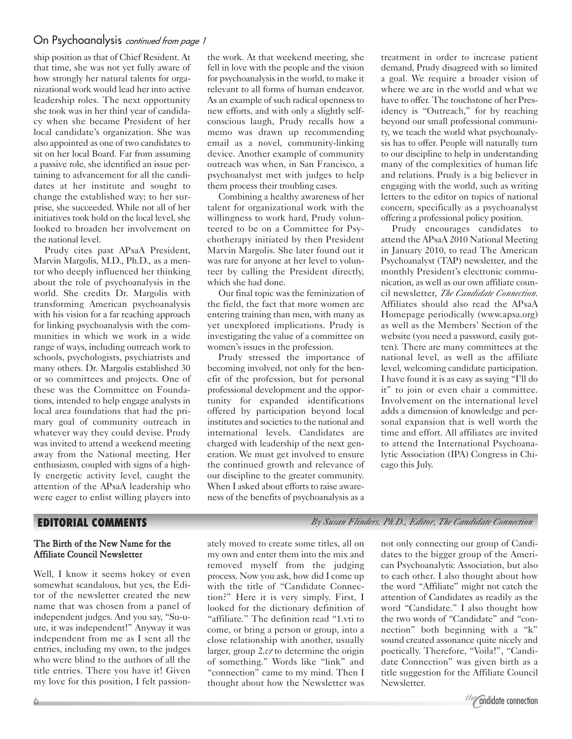# On Psychoanalysis *continued from page 1*

ship position as that of Chief Resident. At that time, she was not yet fully aware of how strongly her natural talents for organizational work would lead her into active leadership roles. The next opportunity she took was in her third year of candidacy when she became President of her local candidate's organization. She was also appointed as one of two candidates to sit on her local Board. Far from assuming a passive role, she identified an issue pertaining to advancement for all the candidates at her institute and sought to change the established way; to her surprise, she succeeded. While not all of her initiatives took hold on the local level, she looked to broaden her involvement on the national level.

Prudy cites past APsaA President, Marvin Margolis, M.D., Ph.D., as a mentor who deeply influenced her thinking about the role of psychoanalysis in the world. She credits Dr. Margolis with transforming American psychoanalysis with his vision for a far reaching approach for linking psychoanalysis with the communities in which we work in a wide range of ways, including outreach work to schools, psychologists, psychiatrists and many others. Dr. Margolis established 30 or so committees and projects. One of these was the Committee on Foundations, intended to help engage analysts in local area foundations that had the primary goal of community outreach in whatever way they could devise. Prudy was invited to attend a weekend meeting away from the National meeting. Her enthusiasm, coupled with signs of a highly energetic activity level, caught the attention of the APsaA leadership who were eager to enlist willing players into the work. At that weekend meeting, she fell in love with the people and the vision for psychoanalysis in the world, to make it relevant to all forms of human endeavor. As an example of such radical openness to new efforts, and with only a slightly selfconscious laugh, Prudy recalls how a memo was drawn up recommending email as a novel, community-linking device. Another example of community outreach was when, in San Francisco, a psychoanalyst met with judges to help them process their troubling cases.

Combining a healthy awareness of her talent for organizational work with the willingness to work hard, Prudy volunteered to be on a Committee for Psychotherapy initiated by then President Marvin Margolis. She later found out it was rare for anyone at her level to volunteer by calling the President directly, which she had done.

Our final topic was the feminization of the field, the fact that more women are entering training than men, with many as yet unexplored implications. Prudy is investigating the value of a committee on women's issues in the profession.

Prudy stressed the importance of becoming involved, not only for the benefit of the profession, but for personal professional development and the opportunity for expanded identifications offered by participation beyond local institutes and societies to the national and international levels. Candidates are charged with leadership of the next generation. We must get involved to ensure the continued growth and relevance of our discipline to the greater community. When I asked about efforts to raise awareness of the benefits of psychoanalysis as a treatment in order to increase patient demand, Prudy disagreed with so limited a goal. We require a broader vision of where we are in the world and what we have to offer. The touchstone of her Presidency is "Outreach," for by reaching beyond our small professional community, we teach the world what psychoanalysis has to offer. People will naturally turn to our discipline to help in understanding many of the complexities of human life and relations. Prudy is a big believer in engaging with the world, such as writing letters to the editor on topics of national concern, specifically as a psychoanalyst offering a professional policy position.

Prudy encourages candidates to attend the APsaA 2010 National Meeting in January 2010, to read The American Psychoanalyst (TAP) newsletter, and the monthly President's electronic communication, as well as our own affiliate council newsletter, *The Candidate Connection*. Affiliates should also read the APsaA Homepage periodically (www.apsa.org) as well as the Members' Section of the website (you need a password, easily gotten). There are many committees at the national level, as well as the affiliate level, welcoming candidate participation. I have found it is as easy as saying "I'll do it" to join or even chair a committee. Involvement on the international level adds a dimension of knowledge and personal expansion that is well worth the time and effort. All affiliates are invited to attend the International Psychoanalytic Association (IPA) Congress in Chicago this July.

# **EDITORIAL COMMENTS**

## The Birth of the New Name for the Affiliate Council Newsletter

Well, I know it seems hokey or even somewhat scandalous, but yes, the Editor of the newsletter created the new name that was chosen from a panel of independent judges. And you say, "Su-uure, it was independent!" Anyway it was independent from me as I sent all the entries, including my own, to the judges who were blind to the authors of all the title entries. There you have it! Given my love for this position, I felt passion-

ately moved to create some titles, all on my own and enter them into the mix and removed myself from the judging process. Now you ask, how did I come up with the title of "Candidate Connection?" Here it is very simply. First, I looked for the dictionary definition of "affiliate." The definition read "1.vti to come, or bring a person or group, into a close relationship with another, usually larger, group 2.*vt* to determine the origin of something." Words like "link" and "connection" came to my mind. Then I thought about how the Newsletter was

*By Susan Flinders. Ph.D., Editor, The Candidate Connection*

not only connecting our group of Candidates to the bigger group of the American Psychoanalytic Association, but also to each other. I also thought about how the word "Affiliate" might not catch the attention of Candidates as readily as the word "Candidate." I also thought how the two words of "Candidate" and "connection" both beginning with a "k" sound created assonance quite nicely and poetically. Therefore, "Voila!", "Candidate Connection" was given birth as a title suggestion for the Affiliate Council Newsletter.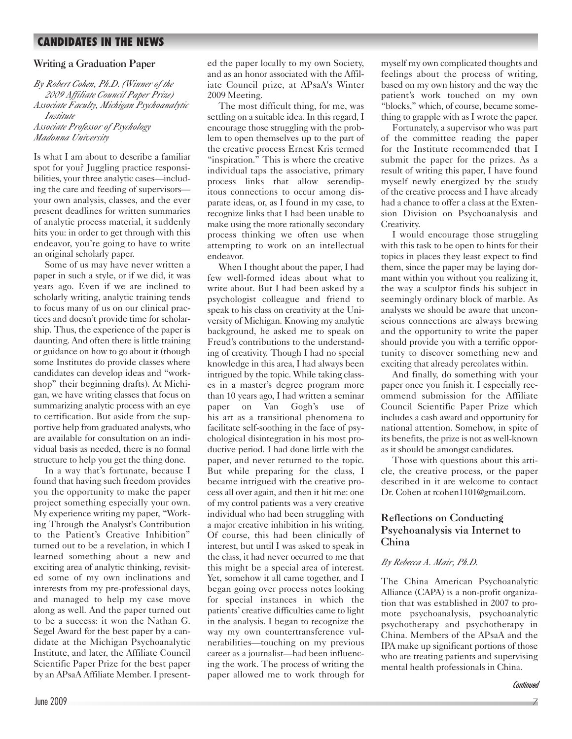# **CANDIDATES IN THE NEWS**

# Writing a Graduation Paper

*By Robert Cohen, Ph.D. (Winner of the 2009 Affiliate Council Paper Prize) Associate Faculty, Michigan Psychoanalytic Institute Associate Professor of Psychology Madonna University*

Is what I am about to describe a familiar spot for you? Juggling practice responsibilities, your three analytic cases—including the care and feeding of supervisors your own analysis, classes, and the ever present deadlines for written summaries of analytic process material, it suddenly hits you: in order to get through with this endeavor, you're going to have to write an original scholarly paper.

Some of us may have never written a paper in such a style, or if we did, it was years ago. Even if we are inclined to scholarly writing, analytic training tends to focus many of us on our clinical practices and doesn't provide time for scholarship. Thus, the experience of the paper is daunting. And often there is little training or guidance on how to go about it (though some Institutes do provide classes where candidates can develop ideas and "workshop" their beginning drafts). At Michigan, we have writing classes that focus on summarizing analytic process with an eye to certification. But aside from the supportive help from graduated analysts, who are available for consultation on an individual basis as needed, there is no formal structure to help you get the thing done.

In a way that's fortunate, because I found that having such freedom provides you the opportunity to make the paper project something especially your own. My experience writing my paper, "Working Through the Analyst's Contribution to the Patient's Creative Inhibition" turned out to be a revelation, in which I learned something about a new and exciting area of analytic thinking, revisited some of my own inclinations and interests from my pre-professional days, and managed to help my case move along as well. And the paper turned out to be a success: it won the Nathan G. Segel Award for the best paper by a candidate at the Michigan Psychoanalytic Institute, and later, the Affiliate Council Scientific Paper Prize for the best paper by an APsaA Affiliate Member. I presented the paper locally to my own Society, and as an honor associated with the Affiliate Council prize, at APsaA's Winter 2009 Meeting.

The most difficult thing, for me, was settling on a suitable idea. In this regard, I encourage those struggling with the problem to open themselves up to the part of the creative process Ernest Kris termed "inspiration." This is where the creative individual taps the associative, primary process links that allow serendipitous connections to occur among disparate ideas, or, as I found in my case, to recognize links that I had been unable to make using the more rationally secondary process thinking we often use when attempting to work on an intellectual endeavor.

When I thought about the paper, I had few well-formed ideas about what to write about. But I had been asked by a psychologist colleague and friend to speak to his class on creativity at the University of Michigan. Knowing my analytic background, he asked me to speak on Freud's contributions to the understanding of creativity. Though I had no special knowledge in this area, I had always been intrigued by the topic. While taking classes in a master's degree program more than 10 years ago, I had written a seminar paper on Van Gogh's use of his art as a transitional phenomena to facilitate self-soothing in the face of psychological disintegration in his most productive period. I had done little with the paper, and never returned to the topic. But while preparing for the class, I became intrigued with the creative process all over again, and then it hit me: one of my control patients was a very creative individual who had been struggling with a major creative inhibition in his writing. Of course, this had been clinically of interest, but until I was asked to speak in the class, it had never occurred to me that this might be a special area of interest. Yet, somehow it all came together, and I began going over process notes looking for special instances in which the patients' creative difficulties came to light in the analysis. I began to recognize the way my own countertransference vulnerabilities—touching on my previous career as a journalist—had been influencing the work. The process of writing the paper allowed me to work through for myself my own complicated thoughts and feelings about the process of writing, based on my own history and the way the patient's work touched on my own "blocks," which, of course, became something to grapple with as I wrote the paper.

Fortunately, a supervisor who was part of the committee reading the paper for the Institute recommended that I submit the paper for the prizes. As a result of writing this paper, I have found myself newly energized by the study of the creative process and I have already had a chance to offer a class at the Extension Division on Psychoanalysis and Creativity.

I would encourage those struggling with this task to be open to hints for their topics in places they least expect to find them, since the paper may be laying dormant within you without you realizing it, the way a sculptor finds his subject in seemingly ordinary block of marble. As analysts we should be aware that unconscious connections are always brewing and the opportunity to write the paper should provide you with a terrific opportunity to discover something new and exciting that already percolates within.

And finally, do something with your paper once you finish it. I especially recommend submission for the Affiliate Council Scientific Paper Prize which includes a cash award and opportunity for national attention. Somehow, in spite of its benefits, the prize is not as well-known as it should be amongst candidates.

Those with questions about this article, the creative process, or the paper described in it are welcome to contact Dr. Cohen at rcohen1101@gmail.com.

# Reflections on Conducting Psychoanalysis via Internet to China

### *By Rebecca A. Mair, Ph.D.*

The China American Psychoanalytic Alliance (CAPA) is a non-profit organization that was established in 2007 to promote psychoanalysis, psychoanalytic psychotherapy and psychotherapy in China. Members of the APsaA and the IPA make up significant portions of those who are treating patients and supervising mental health professionals in China.